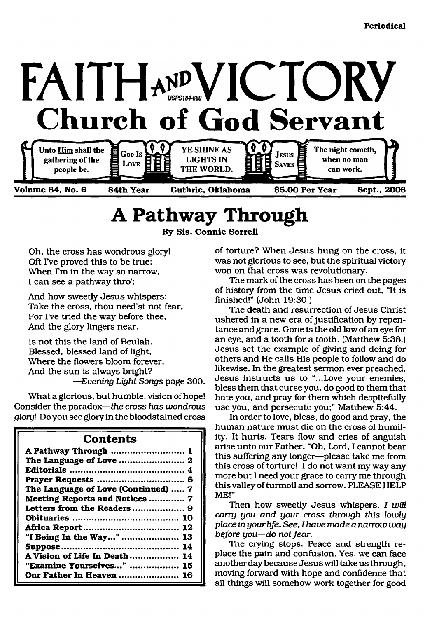

Unto <u>Him</u> shall the<br>gathering of the<br>people be.<br>Volume 84, No. 6 **JESUS LIGHTS IN gathering of the** when no man LOVE **SAVES** THE WORLD. **people be.** can work. **Volume 84, No. 6 84th Year Guthrie, Oklahoma \$5.00 Per Year Sept., 2006**

# <span id="page-0-0"></span>**A Pathway Through**

**By Sis. Connie Sorrell**

Oh, the cross has wondrous glory! Oft I've proved this to be true; When I'm in the way so narrow, I can see a pathway thro';

And how sweetly Jesus whispers: Take the cross, thou need'st not fear, For I've tried the way before thee, And the glory lingers near.

Is not this the land of Beulah, Blessed, blessed land of light, Where the flowers bloom forever, And the sun is always bright? *—Evening Light Songs* page 300.

What a glorious, but humble, vision of hope! Consider the paradox—*the cross has wondrous gloryl Do* you see glory in the bloodstained cross

| <b>Contents</b>                     |  |  |  |
|-------------------------------------|--|--|--|
| A Pathway Through  1                |  |  |  |
|                                     |  |  |  |
|                                     |  |  |  |
|                                     |  |  |  |
| The Language of Love (Continued)  7 |  |  |  |
| Meeting Reports and Notices  7      |  |  |  |
|                                     |  |  |  |
|                                     |  |  |  |
|                                     |  |  |  |
| "I Being In the Way"  13            |  |  |  |
|                                     |  |  |  |
| A Vision of Life In Death 14        |  |  |  |
| "Examine Yourselves"  15            |  |  |  |
| Our Father In Heaven  16            |  |  |  |

of torture? When Jesus hung on the cross, it was not glorious to see, but the spiritual victory won on that cross was revolutionary.

The mark of the cross has been on the pages of history from the time Jesus cried out, "It is finished!" (John 19:30.)

The death and resurrection of Jesus Christ ushered in a new era of justification by repentance and grace. Gone is the old law of an eye for an eye, and a tooth for a tooth. (Matthew 5:38.) Jesus set the example of giving and doing for others and He calls His people to follow and do likewise. In the greatest sermon ever preached, Jesus instructs us to "...Love your enemies, bless them that curse you. do good to them that hate you, and pray for them which despitefully use you, and persecute you;" Matthew 5:44.

In order to love, bless, do good and pray, the human nature must die on the cross of humility. It hurts. Tears flow and cries of anguish arise unto our Father. "Oh, Lord, I cannot bear this suffering any longer—please take me from this cross of torture! I do not want my way any more but I need your grace to carry me through this valley of turmoil and sorrow. PLEASE HELP ME!"

Then how sweetly Jesus whispers, *I will carry you and your cross through this lowly place in your life. See, I have made a narrow way before you—do not fear.*

The crying stops. Peace and strength replace the pain and confusion. Yes, we can face another day because Jesus will take us through, moving forward with hope and confidence that all things will somehow work together for good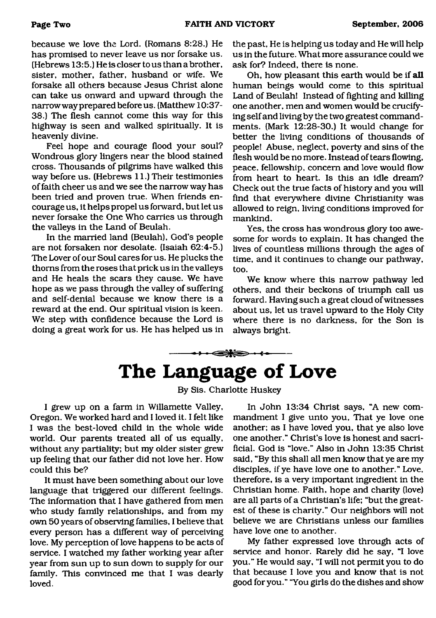because we love the Lord. (Romans 8:28.) He has promised to never leave us nor forsake us. (Hebrews 13:5.) He is closer to us than abrother, sister, mother, father, husband or wife. We forsake all others because Jesus Christ alone can take us onward and upward through the narrow way prepared before us. (Matthew 10:37- 38.) The flesh cannot come this way for this highway is seen and walked spiritually. It is heavenly divine.

Feel hope and courage flood your soul? Wondrous glory lingers near the blood stained cross. Thousands of pilgrims have walked this way before us. (Hebrews 11.) Their testimonies of faith cheer us and we see the narrow way has been tried and proven true. When friends encourage us, it helps propel us forward, but let us never forsake the One Who carries us through the valleys in the Land of Beulah.

In the married land (Beulah), God's people are not forsaken nor desolate. (Isaiah 62:4-5.) The Lover of our Soul cares for us. He plucks the thorns from the roses that prick us in the valleys and He heals the scars they cause. We have hope as we pass through the valley of suffering and self-denial because we know there is a reward at the end. Our spiritual vision is keen. We step with confidence because the Lord is doing a great work for us. He has helped us in the past, He is helping us today and He will help us in the future. What more assurance could we ask for? Indeed, there is none.

Oh, how pleasant this earth would be if **all** human beings would come to this spiritual Land of Beulah! Instead of fighting and killing one another, men and women would be crucifying self and living by the two greatest commandments. (Mark 12:28-30.) It would change for better the living conditions of thousands of people! Abuse, neglect, poverty and sins of the flesh would be no more. Instead of tears flowing, peace, fellowship, concern and love would flow from heart to heart. Is this an idle dream? Check out the true facts of history and you will find that everywhere divine Christianity was allowed to reign, living conditions improved for mankind.

Yes, the cross has wondrous glory too awesome for words to explain. It has changed the lives of countless millions through the ages of time, and it continues to change our pathway, too.

We know where this narrow pathway led others, and their beckons of triumph call us forward. Having such a great cloud of witnesses about us, let us travel upward to the Holy City where there is no darkness, for the Son is always bright.

# <span id="page-1-0"></span>**The Language of Love**

------- » > -------

By Sis. Charlotte Huskey

I grew up on a farm in Willamette Valley, Oregon. We worked hard and I loved it. I felt like I was the best-loved child in the whole wide world. Our parents treated all of us equally, without any partiality; but my older sister grew up feeling that our father did not love her. How could this be?

It must have been something about our love language that triggered our different feelings. The information that I have gathered from men who study family relationships, and from my own 50 years of observing families, I believe that every person has a different way of perceiving love. My perception of love happens to be acts of service. I watched my father working year after year from sun up to sun down to supply for our family. This convinced me that I was dearly loved.

In John 13:34 Christ says, "A new commandment I give unto you, That ye love one another; as I have loved you, that ye also love one another." Christ's love is honest and sacrificial. God is "love." Also in John 13:35 Christ said, "By this shall all men know that ye are my disciples, if ye have love one to another." Love, therefore, is a very important ingredient in the Christian home. Faith, hope and charity (love) are all parts of a Christian's life; "but the greatest of these is charity." Our neighbors will not believe we are Christians unless our families have love one to another.

My father expressed love through acts of service and honor. Rarely did he say, "I love you." He would say, "I will not permit you to do that because I love you and know that is not good for you." "You girls do the dishes and show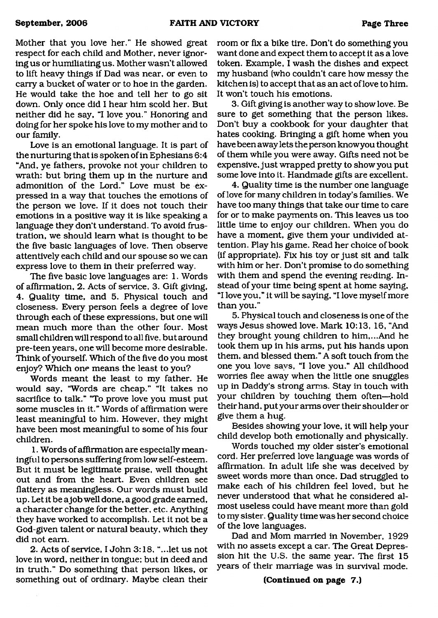Mother that you love her." He showed great respect for each child and Mother, never ignoring us or humiliating us. Mother wasn't allowed to lift heavy things if Dad was near, or even to carry a bucket of water or to hoe in the garden. He would take the hoe and tell her to go sit down. Only once did I hear him scold her. But neither did he say, "I love you." Honoring and doing for her spoke his love to my mother arid to our family.

Love is an emotional language. It is part of the nurturing that is spoken of in Ephesians 6:4 "And, ye fathers, provoke not your children to wrath: but bring them up in the nurture and admonition of the Lord." Love must be expressed in a way that touches the emotions of the person we love. If it does not touch their emotions in a positive way it is like speaking a language they don't understand. To avoid frustration, we should learn what is thought to be the five basic languages of love. Then observe attentively each child and our spouse so we can express love to them in their preferred way.

The five basic love languages are: 1. Words of affirmation, 2. Acts of service, 3. Gift giving, 4. Quality time, and 5. Physical touch and closeness. Every person feels a degree of love through each of these expressions, but one will mean much more than the other four. Most small children will respond to all five, but around pre-teen years, one will become more desirable. Think of yourself. Which of the five do you most enjoy? Which one means the least to you?

Words meant the least to my father. He would say, "Words are cheap." "It takes no sacrifice to talk." 'To prove love you must put some muscles in it." Words of affirmation were least meaningful to him. However, they might have been most meaningful to some of his four children.

1. Words of affirmation are especially meaningful to persons suffering from low self-esteem. But it must be legitimate praise, well thought out and from the heart. Even children see flattery as meaningless. Our words must build up. Let it be ajob well done, a good grade earned, a character change for the better, etc. Anything they have worked to accomplish. Let it not be a God-given talent or natural beauty, which they did not earn.

2. Acts of service, I John 3:18, "...let us not love in word, neither in tongue; but in deed and in truth." Do something that person likes, or something out of ordinary. Maybe clean their

room or fix a bike tire. Don't do something you want done and expect them to accept it as a love token. Example, I wash the dishes and expect my husband (who couldn't care how messy the kitchen is) to accept that as an act of love to him. It won't touch his emotions.

3. Gift giving is another way to show love. Be sure to get something that the person likes. Don't buy a cookbook for your daughter that hates cooking. Bringing a gift home when you have been away lets the person knowyou thought of them while you were away. Gifts need not be expensive, just wrapped pretty to show you put some love into it. Handmade gifts are excellent.

4. Quality time is the number one language of love for many children in today's families. We have too many things that take our time to care for or to make payments on. This leaves us too little time to enjoy our children. When you do have a moment, give them your undivided attention. Play his game. Read her choice of book (if appropriate). Fix his toy or just sit and talk with him or her. Don't promise to do something with them and spend the evening reading. Instead of your time being spent at home saying, "I love you," it will be saying, "I love myself more than you."

5. Physical touch and closeness is one of the ways Jesus showed love. Mark 10:13, 16, "And they brought young children to him,...And he took them up in his arms, put his hands upon them, and blessed them." A soft touch from the one you love says, "I love you." All childhood worries flee away when the little one snuggles up in Daddy's strong arms. Stay in touch with your children by touching them often—hold their hand, put your arms over their shoulder or give them a hug.

Besides showing your love, it will help your child develop both emotionally and physically.

Words touched my older sister's emotional cord. Her preferred love language was words of affirmation. In adult life she was deceived by sweet words more than once. Dad struggled to make each of his children feel loved, but he never understood that what he considered almost useless could have meant more than gold to my sister. Quality time was her second choice of the love languages.

Dad and Mom married in November, 1929 with no assets except a car. The Great Depression hit the U.S. the same year. The first 15 years of their marriage was in survival mode.

#### **(Continued on page 7.)**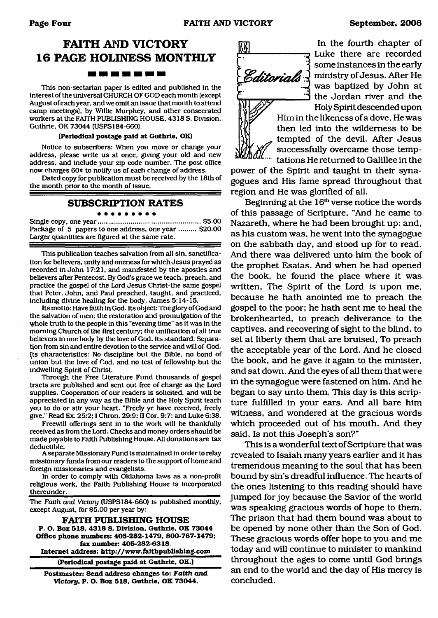### **FAITH AND VICTORY 16 PAGE HOLINESS MONTHLY**

#### **. . . .** .

This non-sectarian paper is edited and published in the interest of the universal CHURCH OF GOD each month (except August of each year, and we omit an issue that month to attend camp meetings), by Willie Murphey, and other consecrated workers at the FAITH PUBLISHING HOUSE, 4318 S. Division. Guthrie, OK 73044 (USPS184-660).

#### **(Periodical postage paid at Guthrie, OK)**

Notice to subscribers: When you move or change your address, please write us at once, giving your old and new address, and include your zip code number. The post office now charges 60¢ to notify us of each change of address.

Dated copy for publication must be received by the 18th of the month prior to the month of issue.

### **SUBSCRIPTION RATES**

#### . . . . . . . . .

Single copy, one year......................................................\$5.00 Package of 5 papers to one address, one year ......... \$20.00 Larger quantities are figured at the same rate.

This publication teaches salvation from all sin. sanctification for believers, unity and oneness for which Jesus prayed as recorded in John 17:21, and manifested by the apostles and believers after Pentecost. By God's grace we teach, preach, and practice the gospel of the Lord Jesus Christ-the same gospel that Peter, John, and Paul preached, taught, and practiced, including divine healing for the body. James 5:14-15.

Its motto: Have faith in God. Its object: The glory of God and the salvation of men; the restoration and promulgation of the \yhole truth to the people in this "evening time" as it was in the morning Church of the first century; the unification of all true believers in one body by the love of God. Its standard: Separation from sin and entire devotion to the service and will of God. Its characteristics: No discipline but the Bible, no bond of union but the love of God, and no test of fellowship but the indwelling Spirit of Christ.

Through the Free Literature Fund thousands of gospel tracts are published and sent out free of charge as the Lord supplies. Cooperation of our readers is solicited, and will be appreciated in any way as the Bible and the Holy Spirit teach you to do or stir your heart. "Freely ye have received, freely give." Read Ex. 25:2; I Chron. 29:9; II Cor. 9:7; and Luke 6:38.

Freewill offerings sent in to the work will be thankfully received as from the Lord. Checks and money orders should be made payable to Faith Publishing House. All donations are tax deductible.

A separate Missionary Fund is maintained in order to relay missionary funds from our readers to the support of home and foreign missionaries and evangelists.

In order to comply with Oklahoma laws as a non-profit religious work, the Faith Publishing House is incorporated thereunder.

The *Faith and Victory* (USPS184-660) is published monthly, except August, for \$5.00 per year by:

#### **FAITH PUBLISHING HOUSE P. O. Box 5X8, 4318 S. Division. Guthrie. OK 73044 Office phone numbers: 405-282-1479, 800-767-1479; fax number: 405-282-6318. Internet address: <http://www.faithpublishing.com>**

**(Periodical postage paid at Guthrie, OK.)**

**Postmaster: Send address changes to: Faith** *and Victory***, P. O. Box 518, Guthrie, OK 73044.**



In the fourth chapter of Luke there are recorded some instances in the early Editorials - ministry of Jesus. After He was baptized by John at i the Jordan river and the Holy Spirit descended upon

> Him in the likeness of a dove, He was then led into the wilderness to be tempted of the devil. After Jesus successfully overcame those temptations He returned to Galillee in the

power of the Spirit and taught in their synagogues and His fame spread throughout that region and He was glorified of all.

Beginning at the 16<sup>th</sup> verse notice the words of this passage of Scripture, "And he came to Nazareth, where he had been brought up: and, as his custom was, he went into the synagogue on the sabbath day, and stood up for to read. And there was delivered unto him the book of the prophet Esaias. And when he had opened the book, he found the place where it was written, The Spirit of the Lord is upon me, because he hath anointed me to preach the gospel to the poor; he hath sent me to heal the brokenhearted, to preach deliverance to the captives, and recovering of sight to the blind, to set at liberty them that are bruised, To preach the acceptable year of the Lord. And he closed the book, and he gave *it* again to the minister, and sat down. And the eyes of all them that were in the synagogue were fastened on him. And he began to say unto them, This day is this scripture fulfilled in your ears. And all bare him witness, and wondered at the gracious words which proceeded out of his mouth. And they said, Is not this Joseph's son?"

This is a wonderful text of Scripture that was revealed to Isaiah many years earlier and it has tremendous meaning to the soul that has been bound by sin's dreadful influence. The hearts of the ones listening to this reading should have jumped for joy because the Savior of the world was speaking gracious words of hope to them. The prison that had them bound was about to be opened by none other than the Son of God. These gracious words offer hope to you and me today and will continue to minister to mankind throughout the ages to come until God brings an end to the world and the day of His mercy is concluded.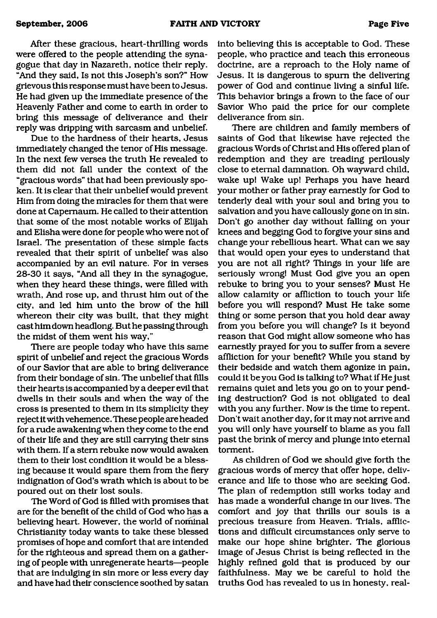After these gracious, heart-thrilling words were offered to the people attending the synagogue that day in Nazareth, notice their reply. "And they said, Is not this Joseph's son?" How grievous this response must have been to Jesus. He had given up the immediate presence of the Heavenly Father and come to earth in order to bring this message of deliverance and their reply was dripping with sarcasm and unbelief.

Due to the hardness of their hearts, Jesus immediately changed the tenor of His message. In the next few verses the truth He revealed to them did not fall under the context of the "gracious words" that had been previously spoken. It is clear that their unbelief would prevent Him from doing the miracles for them that were done at Capernaum. He called to their attention that some of the most notable works of Elijah and Elisha were done for people who were not of Israel. The presentation of these simple facts revealed that their spirit of unbelief was also accompanied by an evil nature. For in verses 28-30 it says, "And all they in the synagogue, when they heard these things, were filled with wrath, And rose up, and thrust him out of the city, and led him unto the brow of the hill whereon their city was built, that they might cast him down headlong. But he passing through the midst of them went his way,"

There are people today who have this same spirit of unbelief and reject the gracious Words of our Savior that are able to bring deliverance from their bondage of sin. The unbelief that fills their hearts is accompanied by a deeper evil that dwells in their souls and when the way of the cross is presented to them in its simplicity they reject it with vehemence. These people are headed for a rude awakening when they come to the end of their life and they are still carrying their sins with them. If a stem rebuke now would awaken them to their lost condition it would be a blessing because it would spare them from the fiery indignation of God's wrath which is about to be poured out on their lost souls.

The Word of God is filled with promises that are for the benefit of the child of God who has a believing heart. However, the world of nominal Christianity today wants to take these blessed promises of hope and comfort that are intended for the righteous and spread them on a gathering of people with unregenerate hearts—people that are indulging in sin more or less every day and have had their conscience soothed by satan

into believing this is acceptable to God. These people, who practice and teach this erroneous doctrine, are a reproach to the Holy name of Jesus. It is dangerous to spurn the delivering power of God and continue living a sinful life. This behavior brings a frown to the face of our Savior Who paid the price for our complete deliverance from sin.

There are children and family members of saints of God that likewise have rejected the gracious Words of Christ and His offered plan of redemption and they are treading perilously close to eternal damnation. Oh wayward child, wake up! Wake up! Perhaps you have heard your mother or father pray earnestly for God to tenderly deal with your soul and bring you to salvation and you have callously gone on in sin. Don't go another day without falling on your knees and begging God to forgive your sins and change your rebellious heart. What can we say that would open your eyes to understand that you are not all right? Things in your life are seriously wrong! Must God give you an open rebuke to bring you to your senses? Must He allow calamity or affliction to touch your life before you will respond? Must He take some thing or some person that you hold dear away from you before you will change? Is it beyond reason that God might allow someone who has earnestly prayed for you to suffer from a severe affliction for your benefit? While you stand by their bedside and watch them agonize in pain, could it be you God is talking to? What if He just remains quiet and lets you go on to your pending destruction? God is not obligated to deal with you any further. Now is the time to repent. Don't wait another day, for it may not arrive and you will only have yourself to blame as you fall past the brink of mercy and plunge into eternal torment.

As children of God we should give forth the gracious words of mercy that offer hope, deliverance and life to those who are seeking God. The plan of redemption still works today and has made a wonderful change in our lives. The comfort and joy that thrills our souls is a precious treasure from Heaven. Trials, afflictions and difficult circumstances only serve to make our hope shine brighter. The glorious image of Jesus Christ is being reflected in the highly refined gold that is produced by our faithfulness. May we be careful to hold the truths God has revealed to us in honesty, real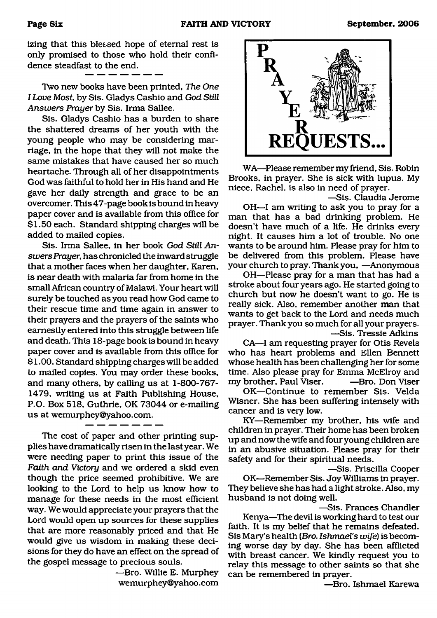izing that this blessed hope of eternal rest is only promised to those who hold their confidence steadfast to the end.

Two new books have been printed, *The One I Love Most*, by Sis. Gladys Cashio and God *Still Answers Prayer* by Sis. Irma Sallee.

Sis. Gladys Cashio has a burden to share the shattered dreams of her youth with the young people who may be considering marriage, in the hope that they will not make the same mistakes that have caused her so much heartache. Through all of her disappointments God was faithful to hold her in His hand and He gave her daily strength and grace to be an overcomer. This 47-page book is bound in heavy paper cover and is available from this office for \$ 1.50 each. Standard shipping charges will be added to mailed copies.

Sis. Irma Sallee, in her book *God Still Answers Prayer,* has chronicled the inward struggle that a mother faces when her daughter, Karen, is near death with malaria far from home in the small African country of Malawi. Your heart will surely be touched as you read how God came to their rescue time and time again in answer to their prayers and the prayers of the saints who earnestly entered into this struggle between life and death. This 18-page book is bound in heavy paper cover and is available from this office for \$ 1.00. Standard shipping charges will be added to mailed copies. You may order these books, and many others, by calling us at 1-800-767- 1479, writing us at Faith Publishing House, P.O. Box 518, Guthrie, OK 73044 or e-mailing us at [wemurphey@yahoo.com.](mailto:wemurphey@yahoo.com)

The cost of paper and other printing supplies have dramatically risen in the last year. We were needing paper to print this issue of the *Faith and Victory* and we ordered a skid even though the price seemed prohibitive. We are looking to the Lord to help us know how to manage for these needs in the most efficient way. We would appreciate your prayers that the Lord would open up sources for these supplies that are more reasonably priced and that He would give us wisdom in making these decisions for they do have an effect on the spread of the gospel message to precious souls.

> —Bro. Willie E. Murphey [wemurphey@yahoo.com](mailto:wemurphey@yahoo.com)



WA—Please remember my friend, Sis. Robin Brooks, in prayer. She is sick with lupus. My niece, Rachel, is also in need of prayer.

—Sis. Claudia Jerome

OH—I am writing to ask you to pray for a man that has a bad drinking problem. He doesn't have much of a life. He drinks every night. It causes him a lot of trouble. No one wants to be around him. Please pray for him to be delivered from this problem. Please have your church to pray. Thank you, —Anonymous

OH—Please pray for a man that has had a stroke about four years ago. He started going to church but now he doesn't want to go. He is really sick. Also, remember another man that wants to get back to the Lord and needs much prayer. Thank you so much for all your prayers. —Sis. Tressie Adkins

CA—I am requesting prayer for Otis Revels who has heart problems and Ellen Bennett whose health has been challenging her for some time. Also please pray for Emma McElroy and my brother, Paul Viser. —Bro. Don Viser

OK—Continue to remember Sis. Velda Wisner. She has been suffering intensely with cancer and is very low.

KY—Remember my brother, his wife and children in prayer. Their home has been broken up and now the wife and four young children are in an abusive situation. Please pray for their safety and for their spiritual needs.

—Sis. Priscilla Cooper

OK—Remember Sis. Joy Williams in prayer. They believe she has had a light stroke. Also, my husband is not doing well.

—Sis. Frances Chandler Kenya—The devil is working hard to test our faith. It is my belief that he remains defeated. Sis Mary's health *(Bro. Ishmael's wife)* is becoming worse day by day. She has been afflicted with breast cancer. We kindly request you to relay this message to other saints so that she can be remembered in prayer.

—Bro. Ishmael Karewa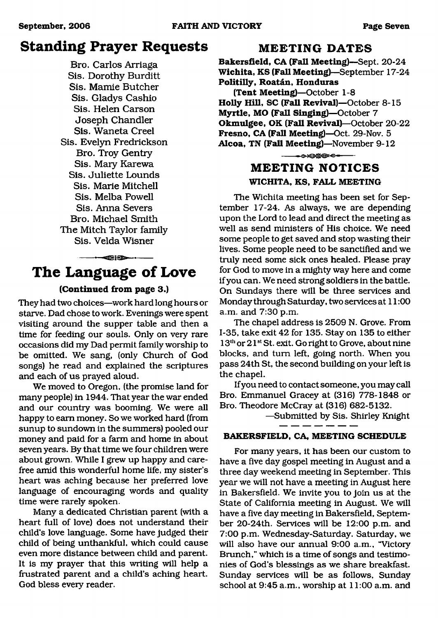### **Standing Prayer Requests**

**Bro. Carlos Arriaga Sis. Dorothy Burditt Sis. Mamie Butcher Sis. Gladys Cashio Sis. Helen Carson Joseph Chandler Sis. Waneta Creel Sis. Evelyn Fredrickson Bro. Troy Gentry** Sis. Mary Karewa **Sis. Juliette Lounds Sis. Marie Mitchell Sis. Melba Powell Sis. Anna Severs Bro. Michael Smith The Mitch Taylor family Sis. Velda Wisner**

## **The Language of Love**

 $m = 1$ 

#### **(Continued from page 3.)**

They had two choices—work hard long hours or starve. Dad chose to work. Evenings were spent visiting around the supper table and then a time for feeding our souls. Only on very rare occasions did my Dad permit family worship to be omitted. We sang, (only Church of God songs) he read and explained the scriptures and each of us prayed aloud.

We moved to Oregon, (the promise land for many people) in 1944. That year the war ended and our country was booming. We were all happy to earn money. So we worked hard (from sunup to sundown in the summers) pooled our money and paid for a farm and home in about seven years. By that time we four children were about grown. While I grew up happy and carefree amid this wonderful home life, my sister's heart was aching because her preferred love language of encouraging words and quality time were rarely spoken.

Many a dedicated Christian parent (with a heart full of love) does not understand their child's love language. Some have judged their child of being unthankful, which could cause even more distance between child and parent. It is my prayer that this writing will help a frustrated parent and a child's aching heart. God bless every reader.

#### **MEETING DATES**

**Bakersfield, CA (Fall Meeting)**—Sept. 20-24 **W ichita, KS (Fall Meeting)—**September 17-24 **Politilly, Roatan, Honduras (Tent Meeting)**—October 1-8 **Holly Hill, SC (Fall Revival)—**October 8-15 **Myrtle, MO (Fall Singing)**—October 7 **Okmulgee, OK (Fall Revival)**—October 20-22

**Fresno, CA (Fall Meeting)**—Oct. 29-Nov. 5 **Alcoa, TN (Fall Meeting)**—November 9-12

<del>⋼</del>≫▓⊜<—

### **MEETING NOTICES WICHITA, KS, FALL MEETING**

The Wichita meeting has been set for September 17-24. As always, we are depending upon the Lord to lead and direct the meeting as well as send ministers of His choice. We need some people to get saved and stop wasting their lives. Some people need to be sanctified and we truly need some sick ones healed. Please pray for God to move in a mighty way here and come if you can. We need strong soldiers in the battle. On Sundays there will be three services and Monday through Saturday, two services at 11:00 a.m. and 7:30 p.m.

The chapel address is 2509 N. Grove. From 1-35, take exit 42 for 135. Stay on 135 to either 13<sup>th</sup> or 21<sup>st</sup> St. exit. Go right to Grove, about nine blocks, and turn left, going north. When you pass 24th St, the second building on your left is the chapel.

If you need to contact someone, you may call Bro. Emmanuel Gracey at (316) 778-1848 or Bro. Theodore McCray at (316) 682-5132.

—Submitted by Sis. Shirley Knight

#### **BAKERSFIELD, CA, MEETING SCHEDULE**

For many years, it has been our custom to have a five day gospel meeting in August and a three day weekend meeting in September. This year we will not have a meeting in August here in Bakersfield. We invite you to join us at the State of California meeting in August. We will have a five day meeting in Bakersfield, September 20-24th. Services will be 12:00 p.m. and 7:00 p.m. Wednesday-Saturday. Saturday, we will also have our annual 9:00 a.m., "Victory Brunch," which is a time of songs and testimonies of God's blessings as we share breakfast. Sunday services will be as follows, Sunday school at 9:45 a.m., worship at 11:00 a.m. and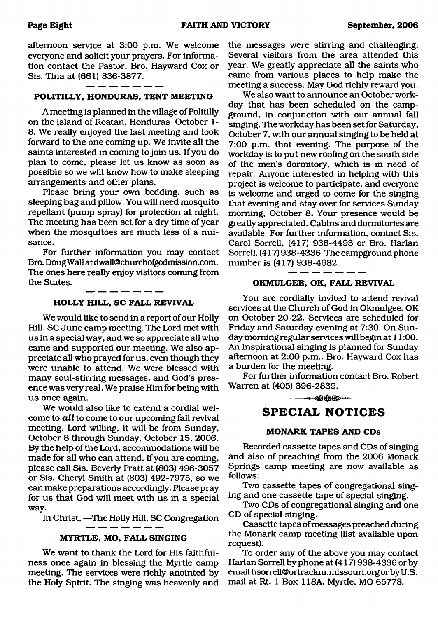afternoon service at 3:00 p.m. We welcome everyone and solicit your prayers. For information contact the Pastor, Bro. Hayward Cox or Sis. Tina at (661) 836-3877.

#### **POLITILLY, HONDURAS, TENT MEETING**

A meeting is planned in the village of Politilly on the island of Roatan, Honduras October 1- 8. We really enjoyed the last meeting and look forward to the one coming up. We invite all the saints interested in coming to join us. If you do plan to come, please let us know as soon as possible so we will know how to make sleeping arrangements and other plans.

Please bring your own bedding, such as sleeping bag and pillow. You will need mosquito repellant (pump spray) for protection at night. The meeting has been set for a dry time of year when the mosquitoes are much less of a nuisance.

For further information you may contact Bro. Doug Wall [atdwall@churchofgodmission.com.](mailto:atdwall@churchofgodmission.com) The ones here really enjoy visitors coming from the States.

#### **HOLLY HILL, SC FALL REVIVAL**

We would like to send in a report of our Holly Hill, SC June camp meeting. The Lord met with us in a special way, and we so appreciate all who came and supported our meeting. We also appreciate all who prayed for us, even though they were unable to attend. We were blessed with many soul-stirring messages, and God's presence was very real. We praise Him for being with us once again.

We would also like to extend a cordial welcome to *all* to come to our upcoming fall revival meeting. Lord willing, it will be from Sunday, October 8 through Sunday, October 15, 2006. By the help of the Lord, accommodations will be made for all who can attend. If you are coming, please call Sis. Beverly Pratt at (803) 496-3057 or Sis. Cheryl Smith at (803) 492-7975, so we can make preparations accordingly. Please pray for us that God will meet with us in a special way.

In Christ, —The Holly Hill, SC Congregation

#### **MYRTLE, MO, FALL SINGING**

We want to thank the Lord for His faithfulness once again in blessing the Myrtle camp meeting. The services were richly anointed by the Holy Spirit. The singing was heavenly and

the messages were stirring and challenging. Several visitors from the area attended this year. We greatly appreciate all the saints who came from various places to help make the meeting a success. May God richly reward you.

We also want to announce an October workday that has been scheduled on the campground, in conjunction with our annual fall singing. The workday has been set for Saturday, October 7, with our annual singing to be held at 7:00 p.m. that evening. The purpose of the workday is to put new roofing on the south side of the men's dormitory, which is in need of repair. Anyone interested in helping with this project is welcome to participate, and everyone is welcome and urged to come for the singing that evening and stay over for services Sunday morning, October 8. Your presence would be greatly appreciated. Cabins and dormitories are available. For further information, contact Sis. Carol Sorrell, (417) 938-4493 or Bro. Harlan Sorrell, (417) 938-4336. The campground phone number is (417) 938-4682.

#### **OKMULGEE, OK, FALL REVIVAL**

You are cordially invited to attend revival services at the Church of God in Okmulgee, OK on October 20-22. Services are scheduled for Friday and Saturday evening at 7:30. On Sunday morning regular services will begin at 11:00. An Inspirational singing is planned for Sunday afternoon at 2:00 p.m.. Bro. Hayward Cox has a burden for the meeting.

For further information contact Bro. Robert Warren at (405) 396-2839.

—<del>—→⊷⊗©⊗⊶–</del>

### **SPECIAL NOTICES**

#### **MONARK TAPES AND CDs**

Recorded cassette tapes and CDs of singing and also of preaching from the 2006 Monark Springs camp meeting are now available as follows:

Two cassette tapes of congregational singing and one cassette tape of special singing.

Two CDs of congregational singing and one CD of special singing.

Cassette tapes of messages preached during the Monark camp meeting (list available upon request).

To order any of the above you may contact Harlan Sorrell by phone at (417) 938-4336 or by email hsorrell@ortrackm.missouri. org or by U .S. mail at Rt. 1 Box 118A, Myrtle, MO 65778.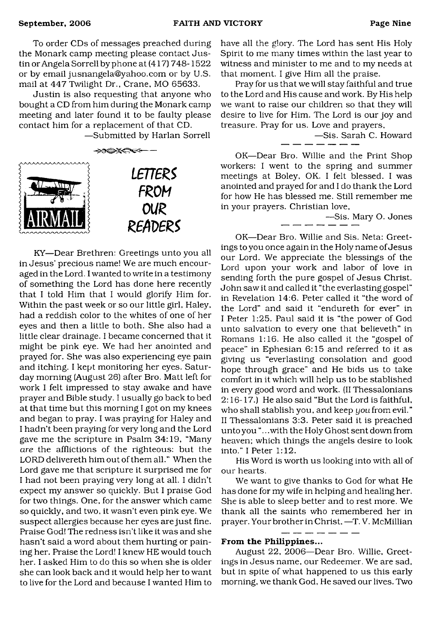To order CDs of messages preached during the Monark camp meeting please contact Justin or Angela Sorrell by phone at (417) 748-1522 or by email jusnangela@yahoo.com or by U.S. mail at 447 Twilight Dr., Crane, MO 65633.

Justin is also requesting that anyone who bought a CD from him during the Monark camp meeting and later found it to be faulty please contact him for a replacement of that CD.

—Submitted by Harlan Sorrell



KY—Dear Brethren: Greetings unto you all in Jesus' precious name! We are much encouraged in the Lord. I wanted to write in a testimony of something the Lord has done here recently that I told Him that I would glorify Him for. Within the past week or so our little girl, Haley, had a reddish color to the whites of one of her eyes and then a little to both. She also had a little clear drainage. I became concerned that it might be pink eye. We had her anointed and prayed for. She was also experiencing eye pain and itching. I kept monitoring her eyes. Saturday morning (August 26) after Bro. Matt left for work I felt impressed to stay awake and have prayer and Bible study. I usually go back to bed at that time but this morning I got on my knees and began to pray. I was praying for Haley and I hadn't been praying for very long and the Lord gave me the scripture in Psalm 34:19, "Many *are* the afflictions of the righteous: but the LORD delivereth him out of them all." When the Lord gave me that scripture it surprised me for I had not been praying very long at all. I didn't expect my answer so quickly. But I praise God for two things. One, for the answer which came so quickly, and two, it wasn't even pink eye. We suspect allergies because her eyes are just fine. Praise God! The redness isn't like it was and she hasn't said a word about them hurting or paining her. Praise the Lord! I knew HE would touch her. I asked Him to do this so when she is older she can look back and it would help her to want to live for the Lord and because I wanted Him to

have all the glory. The Lord has sent His Holy Spirit to me many times within the last year to witness and minister to me and to my needs at that moment. I give Him all the praise.

Pray for us that we will stay faithful and true to the Lord and His cause and work. By His help we want to raise our children so that they will desire to live for Him. The Lord is our joy and treasure. Pray for us. Love and prayers,

—Sis. Sarah C. Howard

OK—Dear Bro. Willie and the Print Shop workers: I went to the spring and summer meetings at Boley, OK. I felt blessed. I was anointed and prayed for and I do thank the Lord for how He has blessed me. Still remember me in your prayers. Christian love,

—Sis. Mary O. Jones

OK—Dear Bro. Willie and Sis. Neta: Greetings to you once again in the Holy name of Jesus our Lord. We appreciate the blessings of the Lord upon your work and labor of love in sending forth the pure gospel of Jesus Christ. John saw it and called it "the everlasting gospel" in Revelation 14:6. Peter called it "the word of the Lord" and said it "endureth for ever" in I Peter 1:25. Paul said it is "the power of God unto salvation to every one that believeth" in Romans 1:16. He also called it the "gospel of peace" in Ephesian 6:15 and referred to it as giving us "everlasting consolation and good hope through grace" and He bids us to take comfort in it which will help us to be stablished in every good word and work. (II Thessalonians 2:16-17.) He also said "But the Lord is faithful, who shall stablish you, and keep *you* from evil." II Thessalonians 3:3. Peter said it is preached unto you ".. .with the Holy Ghost sent down from heaven; which things the angels desire to look into." I Peter 1:12.

His Word is worth us looking into with all of our hearts.

We want to give thanks to God for what He has done for my wife in helping and healing her. She is able to sleep better and to rest more. We thank all the saints who remembered her in prayer. Your brother in Christ, —T. V. McMillian

#### From the Philippines...

August 22, 2006—Dear Bro. Willie, Greetings in Jesus name, our Redeemer. We are sad, but in spite of what happened to us this early morning, we thank God, He saved our lives. Two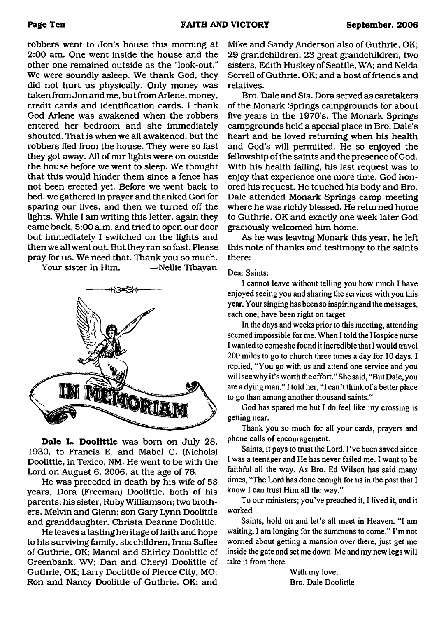robbers went to Jon's house this morning at 2:00 am. One went inside the house and the other one remained outside as the "look-out." We were soundly asleep. We thank God, they did not hurt us physically. Only money was taken from Jon and me, but from Arlene, money, credit cards and identification cards. I thank God Arlene was awakened when the robbers entered her bedroom and she immediately shouted. That is when we all awakened, but the robbers fled from the house. They were so fast they got away. All of our lights were on outside the house before we went to sleep. We thought that this would hinder them since a fence has not been erected yet. Before we went back to bed, we gathered in prayer and thanked God for sparing our lives, and then we turned off the lights. While I am writing this letter, again they came back, 5:00 a.m. and tried to open our door but immediately I switched on the lights and then we all went out. But they ran so fast. Please

Your sister In Him, — Nellie Tibayan



**Dale L. Doolittle** was born on July 28, 1930, to Francis E. and Mabel C. (Nichols) Doolittle, in Texico, NM. He went to be with the Lord on August 6, 2006, at the age of 76.

He was preceded in death by his wife of 53 years, Dora (Freeman) Doolittle, both of his parents; his sister, Ruby Williamson; two brothers, Melvin and Glenn; son Gary Lynn Doolittle and granddaughter, Christa Deanne Doolittle.

He leaves a lasting heritage of faith and hope to his surviving family, six children, Irma Sallee of Guthrie, OK; Mancil and Shirley Doolittle of Greenbank, WV; Dan and Cheryl Doolittle of Guthrie, OK; Larry Doolittle of Pierce City, MO; Ron and Nancy Doolittle of Guthrie, OK; and

Mike and Sandy Anderson also of Guthrie, OK; 29 grandchildren, 23 great grandchildren, two sisters, Edith Huskey of Seattle, WA; and Nelda Sorrell of Guthrie, OK; and a host of friends and relatives.

Bro. Dale and Sis. Dora served as caretakers of the Monark Springs campgrounds for about five years in the 1970's. The Monark Springs campgrounds held a special place in Bro. Dale's heart and he loved returning when his health and God's will permitted. He so enjoyed the fellowship of the saints and the presence of God. With his health failing, his last request was to enjoy that experience one more time. God honored his request. He touched his body and Bro. Dale attended Monark Springs camp meeting where he was richly blessed. He returned home to Guthrie, OK and exactly one week later God graciously welcomed him home.

As he was leaving Monark this year, he left this note of thanks and testimony to the saints there:

Dear Saints:

I cannot leave without telling you how much I have enjoyed seeing you and sharing the services with you this year. Your singing has been so inspiring and the messages, each one, have been right on target.

In the days and weeks prior to this meeting, attending seemed impossible for me. When I told the Hospice nurse I wanted to come she found it incredible that I would travel 200 miles to go to church three times a day for 10 days. I replied, "You go with us and attend one service and you will see why it's worth the effort." She said, "But Dale, you are a dying man." I told her, "I can't think of a better place to go than among another thousand saints."

God has spared me but I do feel like my crossing is getting near.

Thank you so much for all your cards, prayers and phone calls of encouragement.

Saints, it pays to trust the Lord. I've been saved since I was a teenager and He has never failed me. I want to be faithful all the way. As Bro. Ed Wilson has said many times, "The Lord has done enough for us in the past that I know I can trust Him all the way."

To our ministers; you've preached it, I lived it, and it worked.

Saints, hold on and let's all meet in Heaven. "I am waiting, I am longing for the summons to come." I'm not worried about getting a mansion over there, just get me inside the gate and set me down. Me and my new legs will take it from there.

> With my love, Bro. Dale Doolittle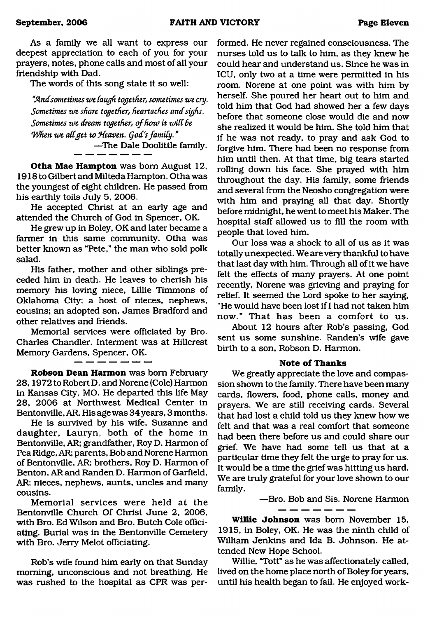As a family we all want to express our deepest appreciation to each of you for your prayers, notes, phone calls and most of all your friendship with Dad.

The words of this song state it so well:

*"findsometimes we Caugf, together, sometimes we cry. Sometimes we share together, heartaches and sighs.* Sometimes we dream together, of how it will be *When we all get to Heaven. God's family."* —The Dale Doolittle family.

**Otha Mae Hampton** was bom August 12, 1918 to Gilbert and Milteda Hampton. Otha was the youngest of eight children. He passed from his earthly toils July 5, 2006.

He accepted Christ at an early age and attended the Church of God in Spencer, OK.

He grew up in Boley, OK and later became a farmer in this same community. Otha was better known as "Pete," the man who sold polk salad.

His father, mother and other siblings preceded him in death. He leaves to cherish his memory his loving niece, Lillie Timmons of Oklahoma City; a host of nieces, nephews, cousins; an adopted son, James Bradford and other relatives and friends.

Memorial services were officiated by Bro. Charles Chandler. Interment was at Hillcrest Memory Gardens, Spencer, OK.

**Robson Dean Harmon** was bom February 28,1972 to Robert D. and Norene (Cole) Harmon in Kansas City, MO. He departed this life May 28, 2006 at Northwest Medical Center in Bentonville, AR. His age was 34 years, 3 months.

He is survived by his wife, Suzanne and daughter, Lauryn, both of the home in Bentonville, AR; grandfather, Roy D. Harmon of Pea Ridge, AR; parents, Bob and Norene Harmon of Bentonville, AR; brothers, Roy D. Harmon of Benton, AR and Randen D. Harmon of Garfield, AR; nieces, nephews, aunts, uncles and many cousins.

Memorial services were held at the Bentonville Church Of Christ June 2, 2006, with Bro. Ed Wilson and Bro. Butch Cole officiating. Burial was in the Bentonville Cemetery with Bro. Jerry Melot officiating.

Rob's wife found him early on that Sunday morning, unconscious and not breathing. He was rushed to the hospital as CPR was performed. He never regained consciousness. The nurses told us to talk to him, as they knew he could hear and understand us. Since he was in ICU, only two at a time were permitted in his room. Norene at one point was with him by herself. She poured her heart out to him and told him that God had showed her a few days before that someone close would die and now she realized it would be him. She told him that if he was not ready, to pray and ask God to forgive him. There had been no response from him until then. At that time, big tears started rolling down his face. She prayed with him throughout the day. His family, some friends and several from the Neosho congregation were with him and praying all that day. Shortly before midnight, he went to meet his Maker. The hospital staff allowed us to fill the room with people that loved him.

Our loss was a shock to all of us as it was totally unexpected. We are very thankful to have that last day with him. Through all of it we have felt the effects of many prayers. At one point recently, Norene was grieving and praying for relief. It seemed the Lord spoke to her saying, "He would have been lost if I had not taken him now." That has been a com fort to us.

About 12 hours after Rob's passing, God sent us some sunshine. Randen's wife gave birth to a son, Robson D. Harmon.

#### **Note of Thanks**

We greatly appreciate the love and compassion shown to the family. There have been many cards, flowers, food, phone calls, money and prayers. We are still receiving cards. Several that had lost a child told us they knew how we felt and that was a real comfort that someone had been there before us and could share our grief. We have had some tell us that at a particular time they felt the urge to pray for us. It would be a time the grief was hitting us hard. We are truly grateful for your love shown to our family.

—Bro. Bob and Sis. Norene Harmon

**Willie Johnson** was born November 15, 1915, in Boley, OK. He was the ninth child of William Jenkins and Ida B. Johnson. He attended New Hope School.

Willie, "Tott" as he was affectionately called, lived on the home place north of Boley for years, until his health began to fail. He enjoyed work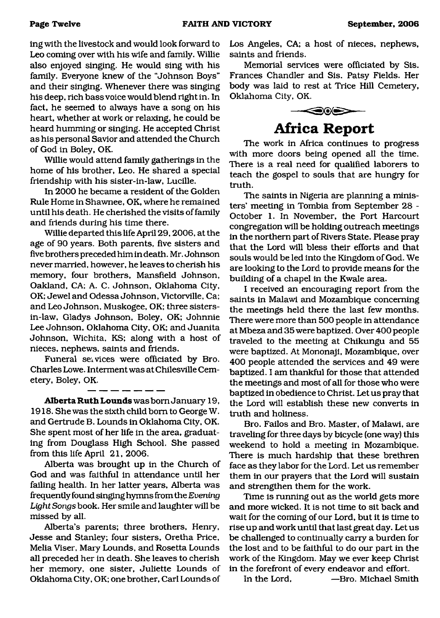ing with the livestock and would look forward to Leo coming over with his wife and family. Willie also enjoyed singing. He would sing with his family. Everyone knew of the "Johnson Boys" and their singing. Whenever there was singing his deep, rich bass voice would blend right in. In fact, he seemed to always have a song on his heart, whether at work or relaxing, he could be heard humming or singing. He accepted Christ as his personal Savior and attended the Church of God in Boley, OK.

Willie would attend family gatherings in the home of his brother, Leo. He shared a special friendship with his sister-in-law, Lucille.

In 2000 he became a resident of the Golden Rule Home in Shawnee, OK, where he remained until his death. He cherished the visits of family and friends during his time there.

Willie departed this life April 29, 2006, at the age of 90 years. Both parents, five sisters and five brothers preceded him in death. Mr. Johnson never married, however, he leaves to cherish his memory, four brothers, Mansfield Johnson, Oakland, CA; A. C. Johnson, Oklahoma City, OK; Jewel and Odessa Johnson, Victorville, Ca; and Leo Johnson, Muskogee, OK; three sistersin-law, Gladys Johnson, Boley, OK; Johnnie Lee Johnson, Oklahoma City, OK; and Juanita Johnson, Wichita, KS; along with a host of nieces, nephews, saints and friends.

Funeral sex vices were officiated by Bro. Charles Lowe. Interment was at Chilesville Cemetery, Boley, OK.

**Alberta Ruth Lounds** was bom January **1**9, 1918. She was the sixth child bom to George W. and Gertrude B. Lounds in Oklahoma City, OK. She spent most of her life in the area, graduating from Douglass High School. She passed from this life April 21, 2006.

Alberta was brought up in the Church of God and was faithful in attendance until her failing health. In her latter years, Alberta was frequently found singing hymns from the *Evening Light Songs* book. Her smile and laughter will be missed by all.

Alberta's parents; three brothers, Henry, Jesse and Stanley; four sisters, Oretha Price, Melia Viser, Mary Lounds, and Rosetta Lounds all preceded her in death. She leaves to cherish her memory, one sister, Juliette Lounds of Oklahoma City, OK; one brother, Carl Lounds of Los Angeles, CA; a host of nieces, nephews, saints and friends.

<span id="page-11-0"></span>Memorial services were officiated by Sis. Frances Chandler and Sis. Patsy Fields. Her body was laid to rest at Trice Hill Cemetery, Oklahoma City, OK.



### **Africa Report**

The work in Africa continues to progress with more doors being opened all the time. There is a real need for qualified laborers to teach the gospel to souls that are hungry for truth.

The saints in Nigeria are planning a ministers' meeting in Tombia from September 28 - October 1. In November, the Port Harcourt congregation will be holding outreach meetings in the northern part of Rivers State. Please pray that the Lord will bless their efforts and that souls would be led into the Kingdom of God. We are looking to the Lord to provide means for the building of a chapel in the Kwale area.

I received an encouraging report from the saints in Malawi and Mozambique concerning the meetings held there the last few months. There were more than 500 people in attendance at Mbeza and 35 were baptized. Over 400 people traveled to the meeting at Chikungu and 55 were baptized. At Mononaji, Mozambique, over 400 people attended the services and 49 were baptized. I am thankful for those that attended the meetings and most of all for those who were baptized in obedience to Christ. Let us pray that the Lord will establish these new converts in truth and holiness.

Bro. Failos and Bro. Master, of Malawi, are traveling for three days by bicycle (one way) this weekend to hold a meeting in Mozambique. There is much hardship that these brethren face as they labor for the Lord. Let us remember them in our prayers that the Lord will sustain and strengthen them for the work.

Time is running out as the world gets more and more wicked. It is not time to sit back and wait for the coming of our Lord, but it is time to rise up and work until that last great day. Let us be challenged to continually carry a burden for the lost and to be faithful to do our part in the work of the Kingdom. May we ever keep Christ in the forefront of every endeavor and effort.

In the Lord, —Bro. Michael Smith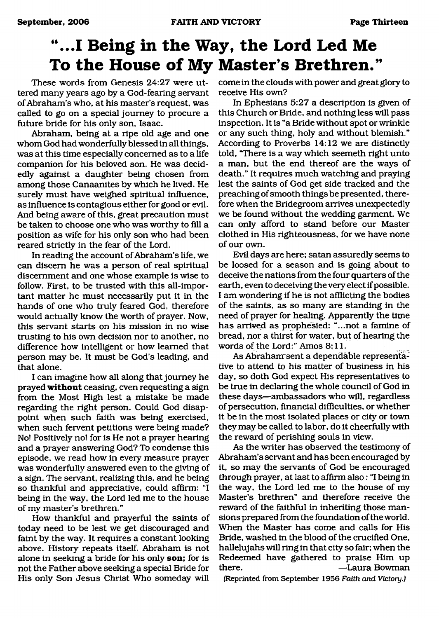# "...I Being in the Way, the Lord Led Me To the House of My Master's Brethren."

These words from Genesis 24:27 were uttered many years ago by a God-fearing servant of Abraham's who, at his master's request, was called to go on a special journey to procure a future bride for his only son, Isaac.

Abraham, being at a ripe old age and one whom God had wonderfully blessed in all things, was at this time especially concerned as to a life companion for his beloved son. He was decidedly against a daughter being chosen from among those Canaanites by which he lived. He surely must have weighed spiritual influence, as influence is contagious either for good or evil. And being aware of this, great precaution must be taken to choose one who was worthy to fill a position as wife for his only son who had been reared strictly in the fear of the Lord.

In reading the account of Abraham's life, we can discern he was a person of real spiritual discernment and one whose example is wise to follow. First, to be trusted with this all-important matter he must necessarily put it in the hands of one who truly feared God, therefore would actually know the worth of prayer. Now, this servant starts on his mission in no wise trusting to his own decision nor to another, no difference how intelligent or how learned that person may be. It must be God's leading, and that alone.

I can imagine how all along that journey he prayed **without** ceasing, even requesting a sign from the Most High lest a mistake be made regarding the right person. Could God disappoint when such faith was being exercised, when such fervent petitions were being made? No! Positively no! for is He not a prayer hearing and a prayer answering God? To condense this episode, we read how in every measure prayer was wonderfully answered even to the giving of a sign. The servant, realizing this, and he being so thankful and appreciative, could affirm: "I being in the way, the Lord led me to the house of my master's brethren."

How thankful and prayerful the saints of today need to be lest we get discouraged and faint by the way. It requires a constant looking above. History repeats itself. Abraham is not alone in seeking a bride for his only **son;** for is not the Father above seeking a special Bride for His only Son Jesus Christ Who someday will

come in the clouds with power and great glory to receive His own?

In Ephesians 5:27 a description is given of this Church or Bride, and nothing less will pass inspection. It is "a Bride without spot or wrinkle or any such thing, holy and without blemish." According to Proverbs 14:12 we are distinctly told, "There is a way which seemeth right unto a man, but the end thereof are the ways of death." It requires much watching and praying lest the saints of God get side tracked and the preaching of smooth things be presented, therefore when the Bridegroom arrives unexpectedly we be found without the wedding garment. We can only afford to stand before our Master clothed in His righteousness, for we have none of our own.

Evil days are here; satan assuredly seems to be loosed for a season and is going about to deceive the nations from the four quarters of the earth, even to deceiving the very elect if possible. I am wondering if he is not afflicting the bodies of the saints, as so many are standing in the need of prayer for healing. Apparently the time has arrived as prophesied: "...not a famine of bread, nor a thirst for water, but of hearing the words of the Lord:" Amos 8:11.

As Abraham sent a dependable representative to attend to his matter of business in his day, so doth God expect His representatives to be true in declaring the whole council of God in these days—ambassadors who will, regardless of persecution, financial difficulties, or whether it be in the most isolated places or city or town they may be called to labor, do it cheerfully with the reward of perishing souls in view.

As the writer has observed the testimony of Abraham's servant and has been encouraged by it, so may the servants of God be encouraged through prayer, at last to affirm also: "I being in the way, the Lord led me to the house of my Master's brethren" and therefore receive the reward of the faithful in inheriting those mansions prepared from the foundation of the world. When the Master has come and calls for His Bride, washed in the blood of the crucified One, hallelujahs will ring in that city so fair; when the Redeemed have gathered to praise Him up there. —Laura Bowman

(Reprinted from Septem ber 1956 *Faith and Victory.)*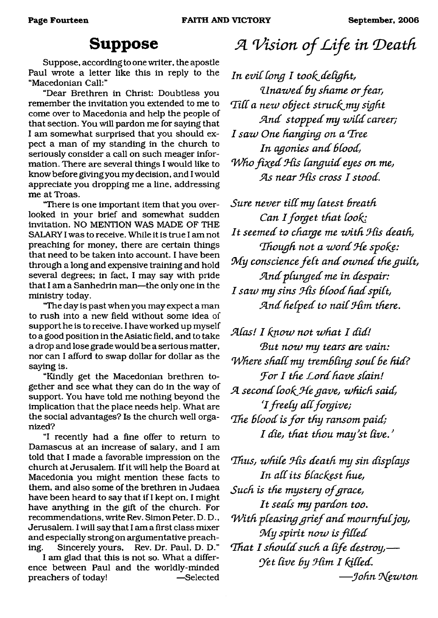### **Suppose**

<span id="page-13-0"></span>Suppose, according to one writer, the apostle Paul wrote a letter like this in reply to the "Macedonian Call:"

"Dear Brethren in Christ: Doubtless you remember the invitation you extended to me to come over to Macedonia and help the people of that section. You will pardon me for saying that I am somewhat surprised that you should expect a man of my standing in the church to seriously consider a call on such meager information. There are several things I would like to know before giving you my decision, and I would appreciate you dropping me a line, addressing me at Troas.

"There is one important item that you overlooked in your brief and somewhat sudden invitation. NO MENTION WAS MADE OF THE SALARY I was to receive. While it is true I am not preaching for money, there are certain things that need to be taken into account. I have been through a long and expensive training and hold several degrees: in fact, I may say with pride that I am a Sanhedrin man—the only one in the ministry today.

"The day is past when you may expect a man to rush into a new field without some idea of support he is to receive. I have worked up myself to a good position in the Asiatic field, and to take a drop and lose grade would be a serious matter, nor can I afford to swap dollar for dollar as the saying is.

"Kindly get the Macedonian brethren together and see what they can do in the way of support. You have told me nothing beyond the implication that the place needs help. What are the social advantages? Is the church well organized?

"I recently had a fine offer to return to Damascus at an increase of salary, and I am told that I made a favorable impression on the church at Jerusalem. If it will help the Board at Macedonia you might mention these facts to them, and also some of the brethren in Judaea have been heard to say that if I kept on, I might have anything in the gift of the church. For recommendations, write Rev. Simon Peter, D. D., Jerusalem. I will say that I am a first class mixer and especially strong on argumentative preaching. Sincerely yours, Rev. Dr. Paul, D. D."

I am glad that this is not so. What a difference between Paul and the worldly-minded preachers of today! —Selected

# *A Vision of Life in Death*

In evil long I took delight, *'Unaw ed By shame or fear, TiCC a new oBject struckjny sight Sind stopped my zi/iCd career; I saw One hanging on a* **'Tree** *In agonies and BCood, Who fixed His languid eyes on me, Sis near Jds cross I stood***'**

*Sure never tiCC my latest Breath Can I forget that look: It seemed to charge me zvith Sds death, Though not a word He spoke: 9dy consciencefelt and owned the guilt, Sind plunged me in despair: I saw my sins Shis BCood had spilt, Sind helped to naiCJ-Cim there***.**

*SiCas! I know not what I didl 'But now my tears are vain: Where shall my trembling soul be hid?* For I the Lord have slain! *Si second Cook^SCe gave, which said, 'IfreeCy aCCforgive;* The blood is for thy ransom paid; *I die, that thou may'st live.'* 

*Thus, while His death my sin displays In all its blackest hue, Such is the mystery of grace,* 

*It seals my pardon too***.**

With pleasing grief and mournful joy,  $My$  spirit now is filled

*That I should such a Cife destroy***,—**  $\emph{Set}$  live by Him I killed.

*— John 9{ewton*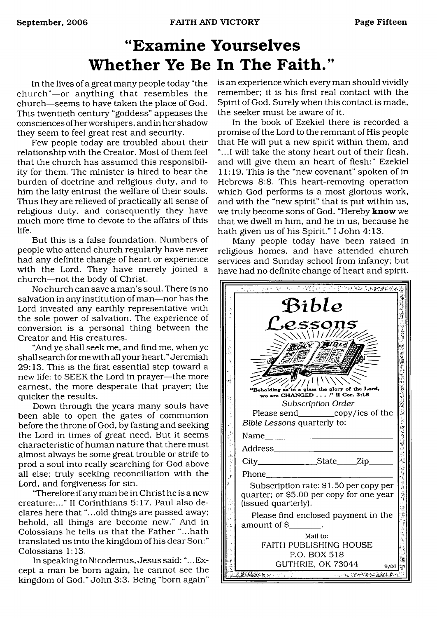# **"E xam in e Y ou rse lve s Whether Ye Be In The Faith."**

In the lives of a great many people today "the church"—or anything that resembles the church—seems to have taken the place of God. This twentieth century "goddess" appeases the consciences of her worshipers, and in her shadow they seem to feel great rest and security.

Few people today are troubled about their relationship with the Creator. Most of them feel that the church has assumed this responsibility for them. The minister is hired to bear the burden of doctrine and religious duty, and to him the laity entrust the welfare of their souls. Thus they are relieved of practically all sense of religious duty, and consequently they have much more time to devote to the affairs of this life.

But this is a false foundation. Numbers of people who attend church regularly have never had any definite change of heart or experience with the Lord. They have merely joined a church—not the body of Christ.

No church can save a man's soul. There is no salvation in any institution of man—nor has the Lord invested any earthly representative with the sole power of salvation. The experience of conversion is a personal thing between the Creator and His creatures.

"And ye shall seek me, and find me, when ye shall search for me with all your heart." Jeremiah 29:13. This is the first essential step toward a new life: to SEEK the Lord in prayer—the more earnest, the more desperate that prayer; the quicker the results.

Down through the years many souls have been able to open the gates of communion before the throne of God, by fasting and seeking the Lord in times of great need. But it seems characteristic of human nature that there must almost always be some great trouble or strife to prod a soul into really searching for God above all else; truly seeking reconciliation with the Lord, and forgiveness for sin.

"Therefore if any man be in Christ he is a new creature:..." II Corinthians 5:17. Paul also declares here that "...old things are passed away; behold, all things are become new." And in Colossians he tells us that the Father "...hath translated us into the kingdom of his dear Son:" Colossians 1:13.

In speaking to Nicodemus, Jesus said: ".. .Except a man be bom again, he cannot see the kingdom of God." John 3:3. Being "born again"

is an experience which every man should vividly remember; it is his first real contact with the Spirit of God. Surely when this contact is made, the seeker must be aware of it.

In the book of Ezekiel there is recorded a promise of the Lord to the remnant of His people that He will put a new spirit within them, and "...I will take the stony heart out of their flesh, and will give them an heart of flesh:" Ezekiel 11:19. This is the "new covenant" spoken of in Hebrews 8:8. This heart-removing operation which God performs is a most glorious work, and with the "new spirit" that is put within us, we truly become sons of God. "Hereby know we that we dwell in him, and he in us, because he hath given us of his Spirit." I John 4:13.

Many people today have been raised in religious homes, and have attended church services and Sunday school from infancy; but have had no definite change of heart and spirit.

| 化硫氰化合物 医心包 地名美国斯特特里<br>الحظية والمستوية                                                                   |  |  |  |  |
|-----------------------------------------------------------------------------------------------------------|--|--|--|--|
| Bible                                                                                                     |  |  |  |  |
| .e.sso<br>$\left\langle \frac{1}{10}\right\rangle$                                                        |  |  |  |  |
|                                                                                                           |  |  |  |  |
|                                                                                                           |  |  |  |  |
| lding as in a glass the glory of the Lord,<br>CHANGED " II Cor. 3:18                                      |  |  |  |  |
| Subscription Order<br>Please send____________copy/ies of the                                              |  |  |  |  |
| Bible Lessons quarterly to:                                                                               |  |  |  |  |
| Name                                                                                                      |  |  |  |  |
| Address                                                                                                   |  |  |  |  |
| $City$ <sub>____</sub> __________________State______Zip_                                                  |  |  |  |  |
| Phone                                                                                                     |  |  |  |  |
| Subscription rate: \$1.50 per copy per<br>quarter; or \$5.00 per copy for one year<br>(issued quarterly). |  |  |  |  |
| Please find enclosed payment in the<br>amount of \$                                                       |  |  |  |  |
| Mail to:<br><b>FAITH PUBLISHING HOUSE</b>                                                                 |  |  |  |  |
| P.O. BOX 518<br>GUTHRIE, OK 73044<br>9/06                                                                 |  |  |  |  |
| <b>Elisabet</b> (m.                                                                                       |  |  |  |  |